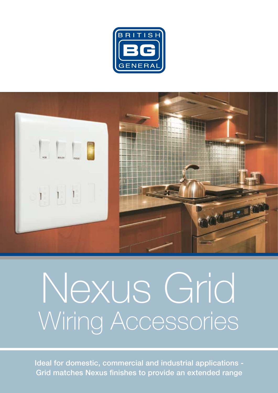



# Nexus Grid Wiring Accessories

Ideal for domestic, commercial and industrial applications - Grid matches Nexus finishes to provide an extended range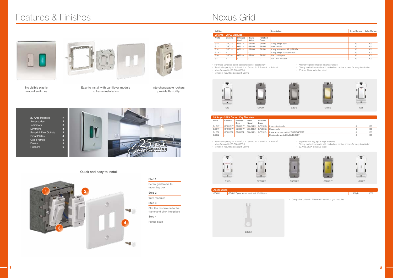Step 1

Screw grid frame to mounting box

Step 2 Wire modules Step 3

Slot the module on to the frame and click into place

Step 4 Fit the plate



11.





# Quick and easy to install

# Features & Finishes **Nexus Grid**

No visible plastic around switches





Interchangeable rockers provide flexibility

Easy to install with cantilever module to frame installation





**\*** • Terminal capacity 4 x 1.0mm2 • Manufactured to BS EN 60669-1

• Minimum mounting box depth 25mm



- Supplied with key, spare keys available
- Clearly marked terminals with backed out captive screws for easy installation
- 20 Amp, 20AX inductive rated

| Cat No.               |                          |                                |                          |                          | Description                   | Inner Carton | Outer Carton |
|-----------------------|--------------------------|--------------------------------|--------------------------|--------------------------|-------------------------------|--------------|--------------|
| 20 Amp - 20AX Modules |                          |                                |                          |                          |                               |              |              |
| White                 | Chrome                   | <b>Brushed</b><br><b>Steel</b> | <b>Black</b><br>Nickel   | Polished<br><b>Brass</b> |                               |              |              |
| G <sub>12</sub>       | GPC12                    | GBS12                          | GBN12                    | GPB12                    | 2 way, single pole            | 10           | 100          |
| G13                   | GPC13                    | GBS13                          | GBN13                    | GPB13                    | Intermediate                  | 10           | 100          |
| G14                   | GPC14                    | GBS14                          | GBN14                    | GPB14                    | 1 way re-tractive, SP (PRESS) | 10           | 100          |
| $G12C^*$              | $\overline{\phantom{a}}$ | $\overline{\phantom{a}}$       | $\overline{\phantom{a}}$ |                          | 2 way, single pole centre off | 10           | 100          |
| G30                   | GPC30                    | GBS30                          | GBN30                    | GPB30                    | 20A double pole               | 10           | 100          |
| G31                   | $\overline{\phantom{a}}$ | $\overline{\phantom{a}}$       | $\overline{\phantom{a}}$ | $\overline{\phantom{a}}$ | $20A DP + indicator$          | 10           | 100          |

\* For metal versions, select additional rocker accordingly<br>• Terminal capacity 4 x 1.0mm², 4 x 1.5mm², 2 x 2.5mm²& 1 x 4.0mm²

• Manufactured to BS EN 60669-1

• Minimum mounting box depth 25mm

- Alternative printed rocker covers available
- Clearly marked terminals with backed out captive screws for easy installation
- 20 Amp, 20AX inductive rated









|       | 20 Amp - 20AX Secret Key Modules |                                |                 |                          |                                             |    |     |  |  |  |  |
|-------|----------------------------------|--------------------------------|-----------------|--------------------------|---------------------------------------------|----|-----|--|--|--|--|
| White | Chrome                           | <b>Brushed</b><br><b>Steel</b> | Black<br>Nickel | Polished<br><b>Brass</b> |                                             |    |     |  |  |  |  |
| G12KY | GPC12KY                          | GBS12KY                        |                 | GBN12KY GPB12KY          | 2 way, single pole                          | 10 | 100 |  |  |  |  |
| G30KY | GPC30KY                          | GBS30KY                        | GBN30KY GPB30KY |                          | Double pole                                 | 10 | 100 |  |  |  |  |
| G12EL | GPC12EL                          | GBS12EL                        | GBN12EL         | GPB12EL                  | 2 way, single pole - printed 'EMG LTG TEST' | 10 | 100 |  |  |  |  |
| G30EL |                                  |                                |                 |                          | Double pole - printed 'EMG LTG TEST'        | 10 | 100 |  |  |  |  |

 $,4 \times 1.5$ mm $^2$ , 2 x 2.5mm $^2$  & 1 x 4.0mm $^2$ 

• Compatible only with BG secret key switch grid modules



Accessories





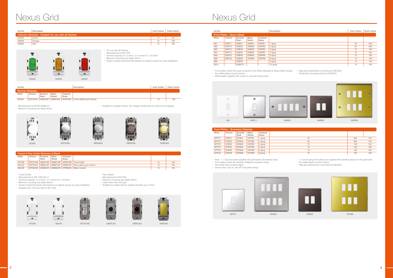

|              | Fused & Flex Outlet Modules & Blank |                         |                        |                          |                                                  |    |     |  |  |  |
|--------------|-------------------------------------|-------------------------|------------------------|--------------------------|--------------------------------------------------|----|-----|--|--|--|
| White        | Chrome                              | <b>Brushed</b><br>Steel | <b>Black</b><br>Nickel | Polished<br><b>Brass</b> |                                                  |    |     |  |  |  |
| <b>GFUSE</b> |                                     |                         |                        |                          | GPCFUSE GBSFUSE GBNFUSE GPBFUSE Fuse holder      | 10 | 100 |  |  |  |
| <b>GFLEX</b> | <b>GPCFLEX</b>                      |                         |                        |                          | GBSFLEX GBNFLEX GPBFLEX Flex outlet (up to 10mm) | 10 | 100 |  |  |  |
| <b>GBLNK</b> |                                     |                         |                        |                          | GPCBLNK GBSBLNK GBNBLNK GPBBLNK Blank module     | 10 | 100 |  |  |  |

- Manufactured to BS 1363 Part 4<br>• Terminal capacity 3 x 2.5mm², 2 x 4.0mm²& 1 x 6.0mm²
- Minimum mounting box depth 25mm
- 
- Clearly marked terminals with backed out captive screws for easy installation • Supplied with 13A fuse fitted to BS 1362

Flex Outlets • Manufactured to BS 5733 • Minimum mounting box depth 35mm • Cable entry with cord grip



















Fused Oulets

• Suitable for cables with an outside diameter up to 10mm









ш





• Note - 1, 3, 6g front plate supplied with grid blanks (Screwless Only)

• Front plates match the standard Flatplate screwless range

• Flat profile with rounded edges

• Secure easy "clip on, clip off" front plate design

• 1, 3 and 6 gang front plates are supplied with blanking pieces for the grid frame

• No visible plastic around rockers

• 6/8g grid surface/flush mounting box (MC503)





| Cat No.          |                                                        | Description             |                        |                          |              |                                   |                                                                                                                                                          |  |  |  | Inner Carton                                                                    | Outer Carton |  |
|------------------|--------------------------------------------------------|-------------------------|------------------------|--------------------------|--------------|-----------------------------------|----------------------------------------------------------------------------------------------------------------------------------------------------------|--|--|--|---------------------------------------------------------------------------------|--------------|--|
|                  | Indicator Modules - Suitable for use with all finishes |                         |                        |                          |              |                                   |                                                                                                                                                          |  |  |  |                                                                                 |              |  |
| GINGR            | Green                                                  |                         |                        |                          |              |                                   |                                                                                                                                                          |  |  |  | 10                                                                              | 100          |  |
| <b>GINOR</b>     |                                                        | Orange                  |                        |                          |              |                                   |                                                                                                                                                          |  |  |  | 10                                                                              | 100          |  |
| GINRD            | Red                                                    |                         |                        |                          |              |                                   |                                                                                                                                                          |  |  |  | 10                                                                              | 100          |  |
|                  |                                                        |                         |                        |                          |              |                                   | • For use with all finishes<br>• Manufactured to BS 5733<br>• Terminal capacity 3 x 2.5mm <sup>2</sup> , 2 x 4.0mm <sup>2</sup> & 1 x 6.0mm <sup>2</sup> |  |  |  |                                                                                 |              |  |
|                  | GINGR                                                  |                         | <b>GINOR</b>           |                          | <b>GINRD</b> | • Minimum mounting box depth 25mm |                                                                                                                                                          |  |  |  | • Clearly marked terminals with backed out captive screws for easy installation |              |  |
|                  |                                                        |                         |                        |                          | Description  |                                   |                                                                                                                                                          |  |  |  | Inner Carton                                                                    | Outer Carton |  |
|                  | <b>Dimmer Modules</b>                                  |                         |                        |                          |              |                                   |                                                                                                                                                          |  |  |  |                                                                                 |              |  |
| Cat No.<br>White | Chrome                                                 | <b>Brushed</b><br>Steel | <b>Black</b><br>Nickel | Polished<br><b>Brass</b> |              |                                   |                                                                                                                                                          |  |  |  |                                                                                 |              |  |



 $\blacksquare$ 

 $\blacksquare$ 





|       | <b>Front Plates - Screwless Flatplate</b> |                         |                        |                          |    |     |     |  |  |  |  |
|-------|-------------------------------------------|-------------------------|------------------------|--------------------------|----|-----|-----|--|--|--|--|
| White | Chrome                                    | <b>Brushed</b><br>Steel | <b>Black</b><br>Nickel | Polished<br><b>Brass</b> |    |     |     |  |  |  |  |
| GFPC1 | GFBS1                                     | GFBN1                   | GFPB1                  | 1 gang                   | 20 | 200 | 100 |  |  |  |  |
| GFPC2 | GFBS2                                     | GFBN2                   | GFPB2                  | 2 gang                   | 20 | 200 | 100 |  |  |  |  |
| GFPC3 | GFBS3                                     | GFBN3                   | GFPB3                  | 3 gang                   | 10 | 100 | 100 |  |  |  |  |
| GFPC4 | GFBS4                                     | GFBN4                   | GFPB4                  | 4 gang                   | 10 | 100 | 100 |  |  |  |  |
| GFPC6 | GFBS6                                     | GFBN6                   | GFPB6                  | 6 gang                   | 10 | 100 | 100 |  |  |  |  |
| GFPC8 | GFBS8                                     | GFBN8                   | GFPB8                  | 8 gang                   | 10 | 100 | 100 |  |  |  |  |

• Front plates match the power products of the White Moulded & Nexus Metal ranges • 6/8g grid surface/flush mounting box (MC503)

• No visible plastic around rockers • White plates supplied with covers to conceal fixing screws • 9/12g flush mounting wall box (HGS912)



| Cat No.                           |                          |                                |                          |                          | Description | Inner Carton | Outer Carton |
|-----------------------------------|--------------------------|--------------------------------|--------------------------|--------------------------|-------------|--------------|--------------|
| <b>Front Plates - Nexus Metal</b> |                          |                                |                          |                          |             |              |              |
| White                             | Chrome                   | <b>Brushed</b><br><b>Steel</b> | <b>Black</b><br>Nickel   | Polished<br><b>Brass</b> |             |              |              |
| G81                               | GNPC1                    | GNBS1                          | GNBN1                    | GNPB1                    | gang        | 20           | 200          |
| G82                               | GNPC <sub>2</sub>        | GNBS2                          | GNBN2                    | GNPB2                    | 2 gang      | 20           | 200          |
| G83                               | GNPC3                    | GNBS3                          | GNBN3                    | GNPB3                    | 3 gang      | 10           | 100          |
| G84                               | GNPC4                    | GNBS4                          | GNBN4                    | GNPB4                    | 4 gang      | 10           | 100          |
| G86                               | GNPC6                    | GNBS6                          | GNBN6                    | GNPB6                    | 6 gang      | 10           | 100          |
| G88                               | GNPC8                    | GNBS8                          | GNBN8                    | GNPB8                    | 8 gang      | 10           | 100          |
| G89                               | $\sim$                   | GNBS9                          |                          |                          | 9 gang      | 10           | 100          |
| G812                              | $\overline{\phantom{a}}$ | GNBS12                         | $\overline{\phantom{a}}$ |                          | 12 gang     | 10           | 100          |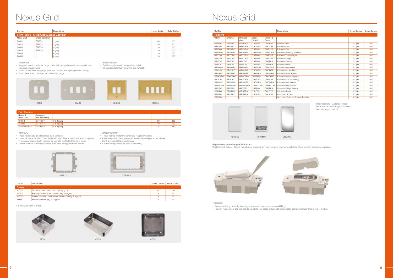# Nexus Grid Nexus Grid

### GFR12/34

- These frames are for all screwed plate versions
- Universal frame for Metal Clad, White Moulded, Nexus Metal & Brass front plates
- Frames are supplied with spacers for use with the Metal Clad front plates
- Metal Clad front plates require tabs to be bent along performed indents

GFR12/34/68FP

T  $\overline{a}$ GMC2 GMC3 GNBG2 GNBG4



- These frames are for the screwless Flatplate versions • Fixed integrated plastic gasket to protect metal edges from moisture
- Earth terminal(s) fitted as standard

• Captive fixing screws for ease of assembly



| Cat No.       | Description                                              | Inner Carton | Outer Carton |
|---------------|----------------------------------------------------------|--------------|--------------|
| <b>Boxes</b>  |                                                          |              |              |
| MC501         | Square surface mount box (1g & 2g grid)                  | 10           | 100          |
| MC502         | Rectangular surface mount box (3q & 4q grid)             |              | 50           |
| MC503         | Double metal box - surface or flush mount (6q & 8q qrid) |              | 50           |
| <b>HGS912</b> | Flush mount box (9g & 12g grid)                          |              | 50           |

• Fitted with earth terminal



| Cat No.                                    |                          | Description | Inner Carton | Outer Carton |  |  |  |  |
|--------------------------------------------|--------------------------|-------------|--------------|--------------|--|--|--|--|
| Front Plates - Metal Clad & Brass Georgian |                          |             |              |              |  |  |  |  |
| <b>Metal Clad</b>                          | <b>Brass Georgian</b>    |             |              |              |  |  |  |  |
| GMC1                                       | GNBG1                    | 1 gang      | 20           | 200          |  |  |  |  |
| GMC <sub>2</sub>                           | GNBG2                    | 2 gang      | 20           | 200          |  |  |  |  |
| GMC3                                       | GNBG3                    | 3 gang      | 10           | 100          |  |  |  |  |
| GMC4                                       | GNBG4                    | 4 gang      | 10           | 100          |  |  |  |  |
| GMC6                                       | $\overline{\phantom{a}}$ | 6 gang      | 10           | 100          |  |  |  |  |
| GMC8                                       | $\overline{\phantom{a}}$ | 8 gang      | 10           | 100          |  |  |  |  |

### Metal Clad

• A rugged, scratch resistant range, suitable for everyday use in commercial and industrial environments

• Manufactured in heavy gauge steel and finished with epoxy powder coating

• Front plates match the standard metal clad range

Brass Georgian



• Cast brass plates with a rope effect detail





| Cat No.        |                 |                                |                          |                          | Description                        | Inner Carton | Outer Carton |
|----------------|-----------------|--------------------------------|--------------------------|--------------------------|------------------------------------|--------------|--------------|
| <b>Rockers</b> |                 |                                |                          |                          |                                    |              |              |
| White          | Chrome          | <b>Brushed</b><br><b>Steel</b> | <b>Black</b><br>Nickel   | Polished<br><b>Brass</b> |                                    |              |              |
| <b>GRHBW</b>   | <b>GRHBPC</b>   | <b>GRHBBS</b>                  | <b>GRHBBN</b>            | <b>GRHBPB</b>            | Printed - Hob                      | 100pks       | 1000         |
| <b>GROVW</b>   | <b>GROVPC</b>   | <b>GROVBS</b>                  | <b>GROVBN</b>            | <b>GROVPB</b>            | Printed - Oven                     | 100pks       | 1000         |
| <b>GRFNW</b>   | <b>GRFNPC</b>   | <b>GRFNBS</b>                  | <b>GRFNBN</b>            | <b>GRFNPB</b>            | Printed - Fan                      | 100pks       | 1000         |
| <b>GRWMW</b>   | <b>GRWMPC</b>   | <b>GRWMBS</b>                  | <b>GRWMBN</b>            | <b>GRWMPB</b>            | Printed - Washing Machine          | 100pks       | 1000         |
| <b>GRTDW</b>   | <b>GRTDPC</b>   | <b>GRTDBS</b>                  | <b>GRTDBN</b>            | <b>GRTDPB</b>            | Printed - Tumble Dryer             | 100pks       | 1000         |
| <b>GRFDW</b>   | <b>GRFDPC</b>   | <b>GRFDBS</b>                  | <b>GRFDBN</b>            | <b>GRFDPB</b>            | Printed - Fridge                   | 100pks       | 1000         |
| <b>GRFZW</b>   | <b>GRFZPC</b>   | <b>GRFZBS</b>                  | <b>GRFZBN</b>            | <b>GRFZPB</b>            | Printed - Freezer                  | 100pks       | 1000         |
| <b>GRBLW</b>   | <b>GRBLPC</b>   | <b>GRBLBS</b>                  | <b>GRBLBN</b>            | <b>GRBLPB</b>            | Printed - Boiler                   | 100pks       | 1000         |
| <b>GRMWW</b>   | <b>GRMWPC</b>   | <b>GRMWBS</b>                  | <b>GRMWBN</b>            | <b>GRMWPB</b>            | Printed - Microwave                | 100pks       | 1000         |
| <b>GRCHW</b>   | <b>GRCHPC</b>   | <b>GRCHBS</b>                  | <b>GRCHBN</b>            | <b>GRCHPB</b>            | Printed - Cooker Hood              | 100pks       | 1000         |
| <b>GRWHW</b>   | <b>GRWHPC</b>   | <b>GRWHBS</b>                  | <b>GRWHBN</b>            | <b>GRWHPB</b>            | Printed - Water Heater             | 100pks       | 1000         |
| <b>GRWDISW</b> | <b>GRWDISPC</b> | <b>GRWDISBS</b>                | <b>GRWDISBN</b>          | <b>GRWDISPB</b>          | Printed - Waste Disposal           | 100pks       | 1000         |
| <b>GRACW</b>   | GRACPC          | <b>GRACBS</b>                  | <b>GRACBN</b>            | <b>GRACPB</b>            | Printed - Air Conditioning         | 100pks       | 1000         |
| GRDWW          | <b>GRDWPC</b>   | <b>GRDWBS</b>                  | <b>GRDWBN</b>            | <b>GRDWPB</b>            | Printed - Dish Washer              | 100pks       | 1000         |
| <b>GRBELLW</b> | GRBELLPC        | <b>GRBELLBS</b>                | <b>GRBELLBN</b>          | <b>GRBELLPB</b>          | Printed - Bell Symbol              | 100pks       | 1000         |
| <b>GRFFW</b>   | <b>GRFFPC</b>   | <b>GRFFBS</b>                  | <b>GRFFBN</b>            | <b>GRFFPB</b>            | Printed - Fridge Freezer           | 100pks       | 1000         |
| <b>GRHTW</b>   | <b>GRHTPC</b>   | <b>GRHTBS</b>                  | <b>GRHTBN</b>            | <b>GRHTPB</b>            | Printed - Heater                   | 100pks       | 1000         |
| <b>GRUPW</b>   | <b>GRUPPC</b>   | <b>GRUPBS</b>                  | <b>GRUPBN</b>            | <b>GRUPPB</b>            | <b>Unprinted Rocker</b>            | 100pks       | 1000         |
| <b>GRUPG</b>   |                 |                                | $\overline{\phantom{a}}$ |                          | Unprinted Graphite Rocker (Part M) | 100pks       | 1000         |

• White Rockers - Markings Printed

• Metal Rockers - Markings Embossed

• Supplied in packs of 10



**Replacement /Interchangeable Rockers** Replacement rockers - Switch modules are supplied with plain rockers, however a selection of pre-printed rockers are available.



To replace:

- Remove existing rocker by inserting screwdriver under rocker cap and lifting.
- Position replacement cap into aperture and clip into place ensuring text is correctly aligned in relationship to top of module.